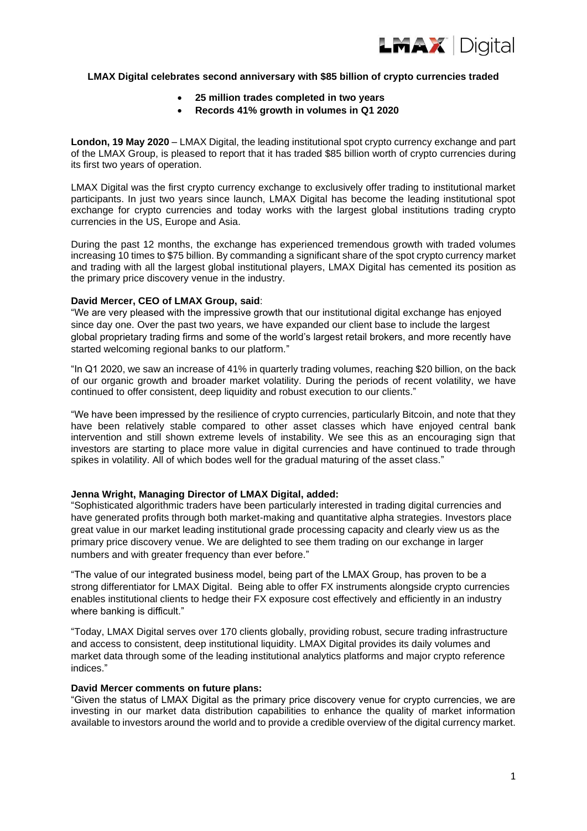

### **LMAX Digital celebrates second anniversary with \$85 billion of crypto currencies traded**

- **25 million trades completed in two years**
- **Records 41% growth in volumes in Q1 2020**

**London, 19 May 2020** – LMAX Digital, the leading institutional spot crypto currency exchange and part of the LMAX Group, is pleased to report that it has traded \$85 billion worth of crypto currencies during its first two years of operation.

LMAX Digital was the first crypto currency exchange to exclusively offer trading to institutional market participants. In just two years since launch, LMAX Digital has become the leading institutional spot exchange for crypto currencies and today works with the largest global institutions trading crypto currencies in the US, Europe and Asia.

During the past 12 months, the exchange has experienced tremendous growth with traded volumes increasing 10 times to \$75 billion. By commanding a significant share of the spot crypto currency market and trading with all the largest global institutional players, LMAX Digital has cemented its position as the primary price discovery venue in the industry.

### **David Mercer, CEO of LMAX Group, said**:

"We are very pleased with the impressive growth that our institutional digital exchange has enjoyed since day one. Over the past two years, we have expanded our client base to include the largest global proprietary trading firms and some of the world's largest retail brokers, and more recently have started welcoming regional banks to our platform."

"In Q1 2020, we saw an increase of 41% in quarterly trading volumes, reaching \$20 billion, on the back of our organic growth and broader market volatility. During the periods of recent volatility, we have continued to offer consistent, deep liquidity and robust execution to our clients."

"We have been impressed by the resilience of crypto currencies, particularly Bitcoin, and note that they have been relatively stable compared to other asset classes which have enjoyed central bank intervention and still shown extreme levels of instability. We see this as an encouraging sign that investors are starting to place more value in digital currencies and have continued to trade through spikes in volatility. All of which bodes well for the gradual maturing of the asset class."

# **Jenna Wright, Managing Director of LMAX Digital, added:**

"Sophisticated algorithmic traders have been particularly interested in trading digital currencies and have generated profits through both market-making and quantitative alpha strategies. Investors place great value in our market leading institutional grade processing capacity and clearly view us as the primary price discovery venue. We are delighted to see them trading on our exchange in larger numbers and with greater frequency than ever before."

"The value of our integrated business model, being part of the LMAX Group, has proven to be a strong differentiator for LMAX Digital. Being able to offer FX instruments alongside crypto currencies enables institutional clients to hedge their FX exposure cost effectively and efficiently in an industry where banking is difficult."

"Today, LMAX Digital serves over 170 clients globally, providing robust, secure trading infrastructure and access to consistent, deep institutional liquidity. LMAX Digital provides its daily volumes and market data through some of the leading institutional analytics platforms and major crypto reference indices."

### **David Mercer comments on future plans:**

"Given the status of LMAX Digital as the primary price discovery venue for crypto currencies, we are investing in our market data distribution capabilities to enhance the quality of market information available to investors around the world and to provide a credible overview of the digital currency market.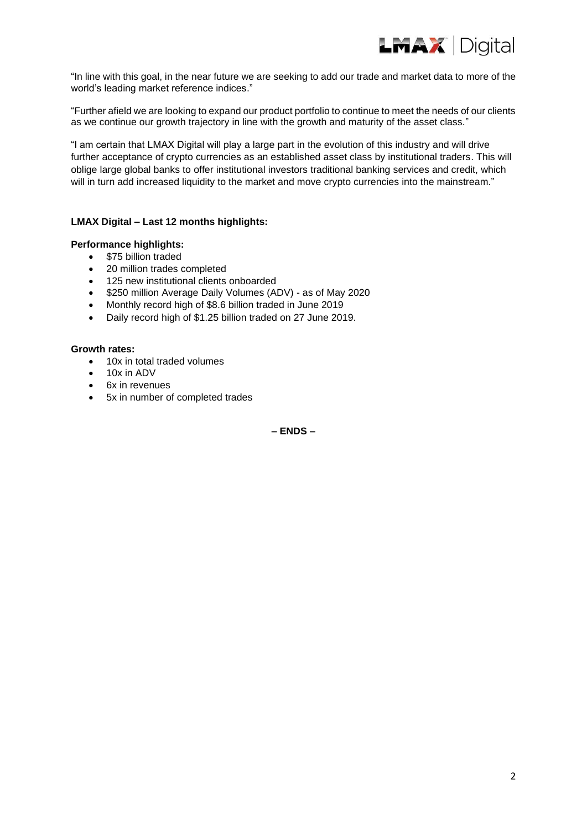

"In line with this goal, in the near future we are seeking to add our trade and market data to more of the world's leading market reference indices."

"Further afield we are looking to expand our product portfolio to continue to meet the needs of our clients as we continue our growth trajectory in line with the growth and maturity of the asset class."

"I am certain that LMAX Digital will play a large part in the evolution of this industry and will drive further acceptance of crypto currencies as an established asset class by institutional traders. This will oblige large global banks to offer institutional investors traditional banking services and credit, which will in turn add increased liquidity to the market and move crypto currencies into the mainstream."

# **LMAX Digital – Last 12 months highlights:**

- **Performance highlights:**
	- \$75 billion traded
	- 20 million trades completed
	- 125 new institutional clients onboarded
	- \$250 million Average Daily Volumes (ADV) as of May 2020
	- Monthly record high of \$8.6 billion traded in June 2019
	- Daily record high of \$1.25 billion traded on 27 June 2019.

#### **Growth rates:**

- 10x in total traded volumes
- 10x in ADV
- 6x in revenues
- 5x in number of completed trades

**– ENDS –**